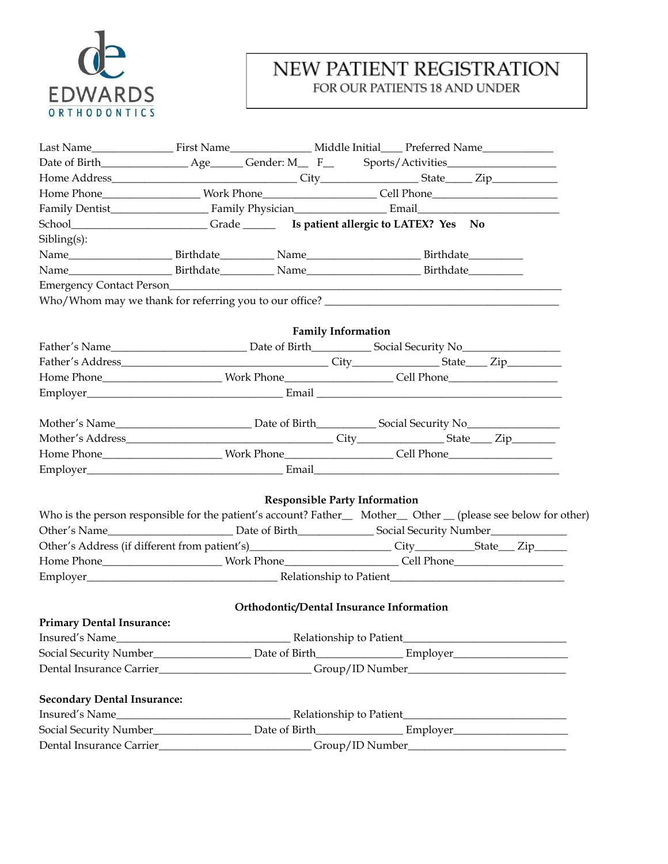

## NEW PATIENT REGISTRATION FOR OUR PATIENTS 18 AND UNDER

| Home Phone______________________Work Phone_________________________Cell Phone_________________________________ |  |                                          |                           |  |                                                                                                               |
|----------------------------------------------------------------------------------------------------------------|--|------------------------------------------|---------------------------|--|---------------------------------------------------------------------------------------------------------------|
|                                                                                                                |  |                                          |                           |  |                                                                                                               |
|                                                                                                                |  |                                          |                           |  |                                                                                                               |
| Sibling(s):                                                                                                    |  |                                          |                           |  |                                                                                                               |
|                                                                                                                |  |                                          |                           |  |                                                                                                               |
|                                                                                                                |  |                                          |                           |  |                                                                                                               |
|                                                                                                                |  |                                          |                           |  |                                                                                                               |
|                                                                                                                |  |                                          |                           |  |                                                                                                               |
|                                                                                                                |  |                                          |                           |  |                                                                                                               |
|                                                                                                                |  |                                          | <b>Family Information</b> |  |                                                                                                               |
|                                                                                                                |  |                                          |                           |  |                                                                                                               |
|                                                                                                                |  |                                          |                           |  |                                                                                                               |
|                                                                                                                |  |                                          |                           |  |                                                                                                               |
|                                                                                                                |  |                                          |                           |  |                                                                                                               |
|                                                                                                                |  |                                          |                           |  |                                                                                                               |
|                                                                                                                |  |                                          |                           |  |                                                                                                               |
|                                                                                                                |  |                                          |                           |  |                                                                                                               |
|                                                                                                                |  |                                          |                           |  |                                                                                                               |
|                                                                                                                |  |                                          |                           |  |                                                                                                               |
|                                                                                                                |  |                                          |                           |  |                                                                                                               |
|                                                                                                                |  | <b>Responsible Party Information</b>     |                           |  |                                                                                                               |
|                                                                                                                |  |                                          |                           |  | Who is the person responsible for the patient's account? Father_ Mother_ Other _ (please see below for other) |
|                                                                                                                |  |                                          |                           |  |                                                                                                               |
|                                                                                                                |  |                                          |                           |  |                                                                                                               |
|                                                                                                                |  |                                          |                           |  |                                                                                                               |
|                                                                                                                |  |                                          |                           |  |                                                                                                               |
|                                                                                                                |  | Orthodontic/Dental Insurance Information |                           |  |                                                                                                               |
| <b>Primary Dental Insurance:</b>                                                                               |  |                                          |                           |  |                                                                                                               |
| Insured's Name_                                                                                                |  |                                          |                           |  |                                                                                                               |
|                                                                                                                |  |                                          |                           |  |                                                                                                               |
|                                                                                                                |  |                                          |                           |  |                                                                                                               |
|                                                                                                                |  |                                          |                           |  |                                                                                                               |
| <b>Secondary Dental Insurance:</b>                                                                             |  |                                          |                           |  |                                                                                                               |
| Insured's Name                                                                                                 |  |                                          |                           |  |                                                                                                               |
|                                                                                                                |  |                                          |                           |  |                                                                                                               |
|                                                                                                                |  |                                          |                           |  |                                                                                                               |